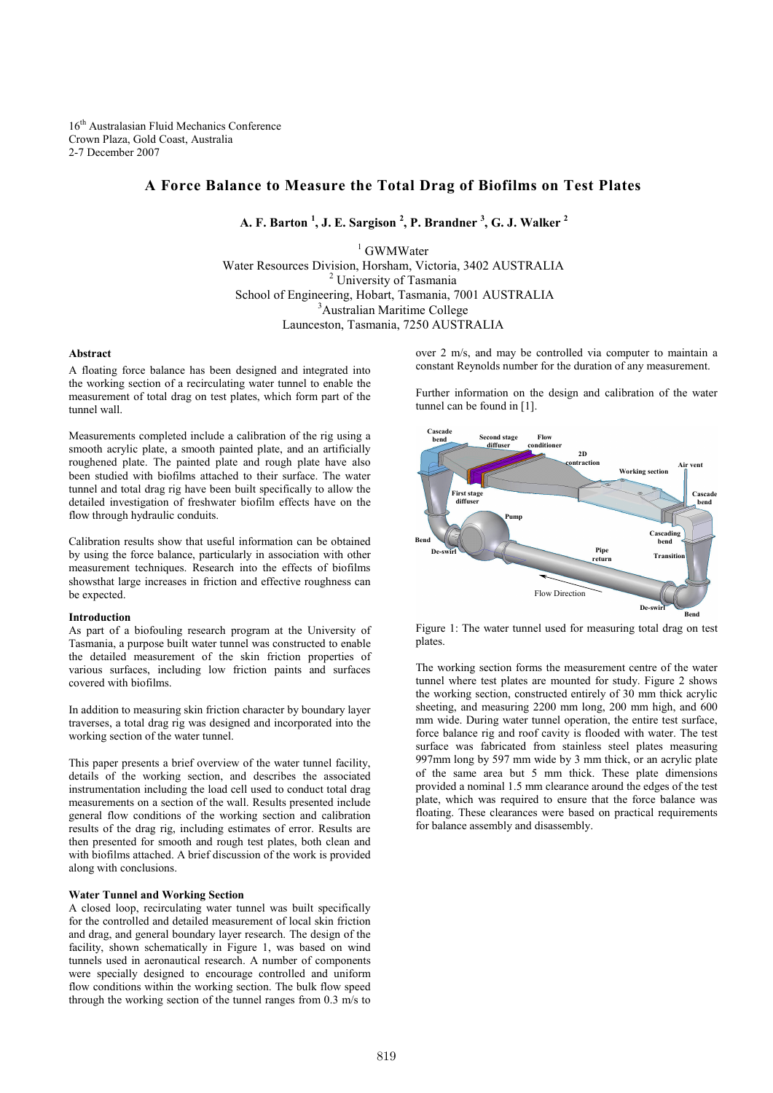16th Australasian Fluid Mechanics Conference Crown Plaza, Gold Coast, Australia 2-7 December 2007

# A Force Balance to Measure the Total Drag of Biofilms on Test Plates

A. F. Barton  $^1$ , J. E. Sargison  $^2$ , P. Brandner  $^3$ , G. J. Walker  $^2$ 

<sup>1</sup> GWMWater Water Resources Division, Horsham, Victoria, 3402 AUSTRALIA <sup>2</sup> University of Tasmania School of Engineering, Hobart, Tasmania, 7001 AUSTRALIA <sup>3</sup>Australian Maritime College Launceston, Tasmania, 7250 AUSTRALIA

# Abstract

A floating force balance has been designed and integrated into the working section of a recirculating water tunnel to enable the measurement of total drag on test plates, which form part of the tunnel wall.

Measurements completed include a calibration of the rig using a smooth acrylic plate, a smooth painted plate, and an artificially roughened plate. The painted plate and rough plate have also been studied with biofilms attached to their surface. The water tunnel and total drag rig have been built specifically to allow the detailed investigation of freshwater biofilm effects have on the flow through hydraulic conduits.

Calibration results show that useful information can be obtained by using the force balance, particularly in association with other measurement techniques. Research into the effects of biofilms showsthat large increases in friction and effective roughness can be expected.

### Introduction

As part of a biofouling research program at the University of Tasmania, a purpose built water tunnel was constructed to enable the detailed measurement of the skin friction properties of various surfaces, including low friction paints and surfaces covered with biofilms.

In addition to measuring skin friction character by boundary layer traverses, a total drag rig was designed and incorporated into the working section of the water tunnel.

This paper presents a brief overview of the water tunnel facility, details of the working section, and describes the associated instrumentation including the load cell used to conduct total drag measurements on a section of the wall. Results presented include general flow conditions of the working section and calibration results of the drag rig, including estimates of error. Results are then presented for smooth and rough test plates, both clean and with biofilms attached. A brief discussion of the work is provided along with conclusions.

# Water Tunnel and Working Section

A closed loop, recirculating water tunnel was built specifically for the controlled and detailed measurement of local skin friction and drag, and general boundary layer research. The design of the facility, shown schematically in Figure 1, was based on wind tunnels used in aeronautical research. A number of components were specially designed to encourage controlled and uniform flow conditions within the working section. The bulk flow speed through the working section of the tunnel ranges from 0.3 m/s to

over 2 m/s, and may be controlled via computer to maintain a constant Reynolds number for the duration of any measurement.

Further information on the design and calibration of the water tunnel can be found in [1].



Figure 1: The water tunnel used for measuring total drag on test plates.

The working section forms the measurement centre of the water tunnel where test plates are mounted for study. Figure 2 shows the working section, constructed entirely of 30 mm thick acrylic sheeting, and measuring 2200 mm long, 200 mm high, and 600 mm wide. During water tunnel operation, the entire test surface, force balance rig and roof cavity is flooded with water. The test surface was fabricated from stainless steel plates measuring 997mm long by 597 mm wide by 3 mm thick, or an acrylic plate of the same area but 5 mm thick. These plate dimensions provided a nominal 1.5 mm clearance around the edges of the test plate, which was required to ensure that the force balance was floating. These clearances were based on practical requirements for balance assembly and disassembly.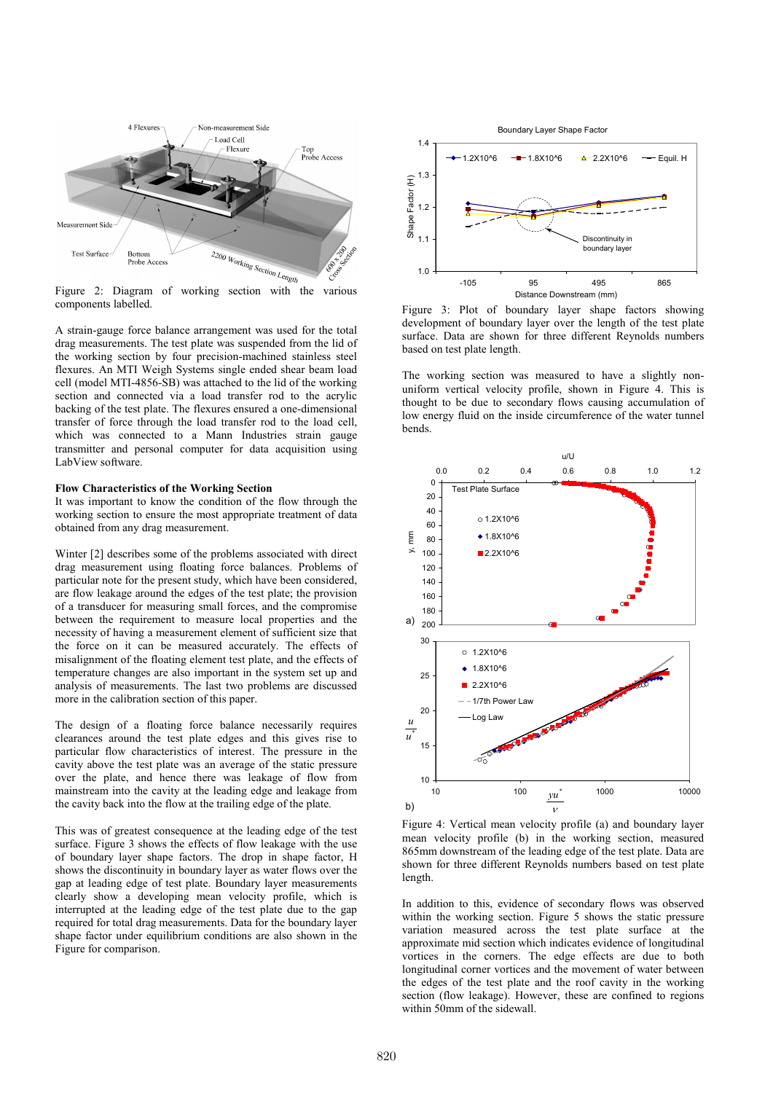

components labelled.

A strain-gauge force balance arrangement was used for the total drag measurements. The test plate was suspended from the lid of the working section by four precision-machined stainless steel flexures. An MTI Weigh Systems single ended shear beam load cell (model MTI-4856-SB) was attached to the lid of the working section and connected via a load transfer rod to the acrylic backing of the test plate. The flexures ensured a one-dimensional transfer of force through the load transfer rod to the load cell, which was connected to a Mann Industries strain gauge transmitter and personal computer for data acquisition using LabView software.

# Flow Characteristics of the Working Section

It was important to know the condition of the flow through the working section to ensure the most appropriate treatment of data obtained from any drag measurement.

Winter [2] describes some of the problems associated with direct drag measurement using floating force balances. Problems of particular note for the present study, which have been considered, are flow leakage around the edges of the test plate; the provision of a transducer for measuring small forces, and the compromise between the requirement to measure local properties and the necessity of having a measurement element of sufficient size that the force on it can be measured accurately. The effects of misalignment of the floating element test plate, and the effects of temperature changes are also important in the system set up and analysis of measurements. The last two problems are discussed more in the calibration section of this paper.

The design of a floating force balance necessarily requires clearances around the test plate edges and this gives rise to particular flow characteristics of interest. The pressure in the cavity above the test plate was an average of the static pressure over the plate, and hence there was leakage of flow from mainstream into the cavity at the leading edge and leakage from the cavity back into the flow at the trailing edge of the plate.

This was of greatest consequence at the leading edge of the test surface. Figure 3 shows the effects of flow leakage with the use of boundary layer shape factors. The drop in shape factor, H shows the discontinuity in boundary layer as water flows over the gap at leading edge of test plate. Boundary layer measurements clearly show a developing mean velocity profile, which is interrupted at the leading edge of the test plate due to the gap required for total drag measurements. Data for the boundary layer shape factor under equilibrium conditions are also shown in the Figure for comparison.



Figure 3: Plot of boundary layer shape factors showing development of boundary layer over the length of the test plate surface. Data are shown for three different Reynolds numbers based on test plate length.

The working section was measured to have a slightly nonuniform vertical velocity profile, shown in Figure 4. This is thought to be due to secondary flows causing accumulation of low energy fluid on the inside circumference of the water tunnel bends.



Figure 4: Vertical mean velocity profile (a) and boundary layer mean velocity profile (b) in the working section, measured 865mm downstream of the leading edge of the test plate. Data are shown for three different Reynolds numbers based on test plate length.

In addition to this, evidence of secondary flows was observed within the working section. Figure 5 shows the static pressure variation measured across the test plate surface at the approximate mid section which indicates evidence of longitudinal vortices in the corners. The edge effects are due to both longitudinal corner vortices and the movement of water between the edges of the test plate and the roof cavity in the working section (flow leakage). However, these are confined to regions within 50mm of the sidewall.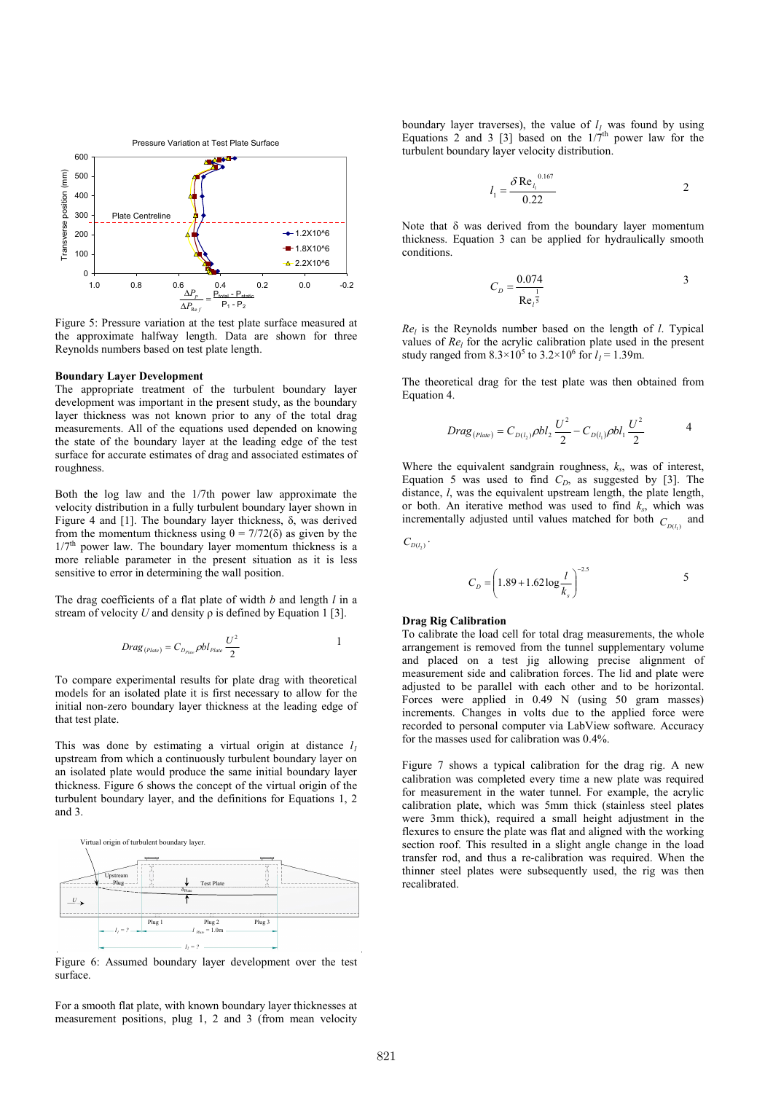

Figure 5: Pressure variation at the test plate surface measured at the approximate halfway length. Data are shown for three Reynolds numbers based on test plate length.

# Boundary Layer Development

The appropriate treatment of the turbulent boundary layer development was important in the present study, as the boundary layer thickness was not known prior to any of the total drag measurements. All of the equations used depended on knowing the state of the boundary layer at the leading edge of the test surface for accurate estimates of drag and associated estimates of roughness.

Both the log law and the 1/7th power law approximate the velocity distribution in a fully turbulent boundary layer shown in Figure 4 and [1]. The boundary layer thickness, δ, was derived from the momentum thickness using  $\theta = 7/72(\delta)$  as given by the  $1/7<sup>th</sup>$  power law. The boundary layer momentum thickness is a more reliable parameter in the present situation as it is less sensitive to error in determining the wall position.

The drag coefficients of a flat plate of width  $b$  and length  $l$  in a stream of velocity U and density  $\rho$  is defined by Equation 1 [3].

$$
Drag_{(Place)} = C_{D_{Place}} \rho bl_{Place} \frac{U^2}{2}
$$

To compare experimental results for plate drag with theoretical models for an isolated plate it is first necessary to allow for the initial non-zero boundary layer thickness at the leading edge of that test plate.

This was done by estimating a virtual origin at distance  $l_1$ upstream from which a continuously turbulent boundary layer on an isolated plate would produce the same initial boundary layer thickness. Figure 6 shows the concept of the virtual origin of the turbulent boundary layer, and the definitions for Equations 1, 2 and 3.



Figure 6: Assumed boundary layer development over the test surface.

For a smooth flat plate, with known boundary layer thicknesses at measurement positions, plug 1, 2 and 3 (from mean velocity boundary layer traverses), the value of  $l_1$  was found by using Equations 2 and 3 [3] based on the  $1/7<sup>th</sup>$  power law for the turbulent boundary layer velocity distribution.

$$
l_1 = \frac{\delta \text{Re}_l^{0.167}}{0.22}
$$
 2

Note that δ was derived from the boundary layer momentum thickness. Equation 3 can be applied for hydraulically smooth conditions.

$$
C_D = \frac{0.074}{\text{Re}_t^{\frac{1}{5}}} \tag{3}
$$

 $Re_l$  is the Reynolds number based on the length of *l*. Typical values of  $Re_l$  for the acrylic calibration plate used in the present study ranged from  $8.3 \times 10^5$  to  $3.2 \times 10^6$  for  $l_1 = 1.39$ m.

The theoretical drag for the test plate was then obtained from Equation 4.

$$
Drag_{(Plate)} = C_{D(l_2)} \rho bl_2 \frac{U^2}{2} - C_{D(l_1)} \rho bl_1 \frac{U^2}{2}
$$
 4

Where the equivalent sandgrain roughness,  $k<sub>s</sub>$ , was of interest, Equation 5 was used to find  $C_D$ , as suggested by [3]. The distance, *l*, was the equivalent upstream length, the plate length, or both. An iterative method was used to find  $k_s$ , which was incrementally adjusted until values matched for both  $C_{D(l_1)}$  and

$$
C_{D(l_2)}\cdot
$$

$$
C_D = \left(1.89 + 1.62\log\frac{l}{k_s}\right)^{-2.5} \tag{5}
$$

# Drag Rig Calibration

To calibrate the load cell for total drag measurements, the whole arrangement is removed from the tunnel supplementary volume and placed on a test jig allowing precise alignment of measurement side and calibration forces. The lid and plate were adjusted to be parallel with each other and to be horizontal. Forces were applied in 0.49 N (using 50 gram masses) increments. Changes in volts due to the applied force were recorded to personal computer via LabView software. Accuracy for the masses used for calibration was 0.4%.

Figure 7 shows a typical calibration for the drag rig. A new calibration was completed every time a new plate was required for measurement in the water tunnel. For example, the acrylic calibration plate, which was 5mm thick (stainless steel plates were 3mm thick), required a small height adjustment in the flexures to ensure the plate was flat and aligned with the working section roof. This resulted in a slight angle change in the load transfer rod, and thus a re-calibration was required. When the thinner steel plates were subsequently used, the rig was then recalibrated.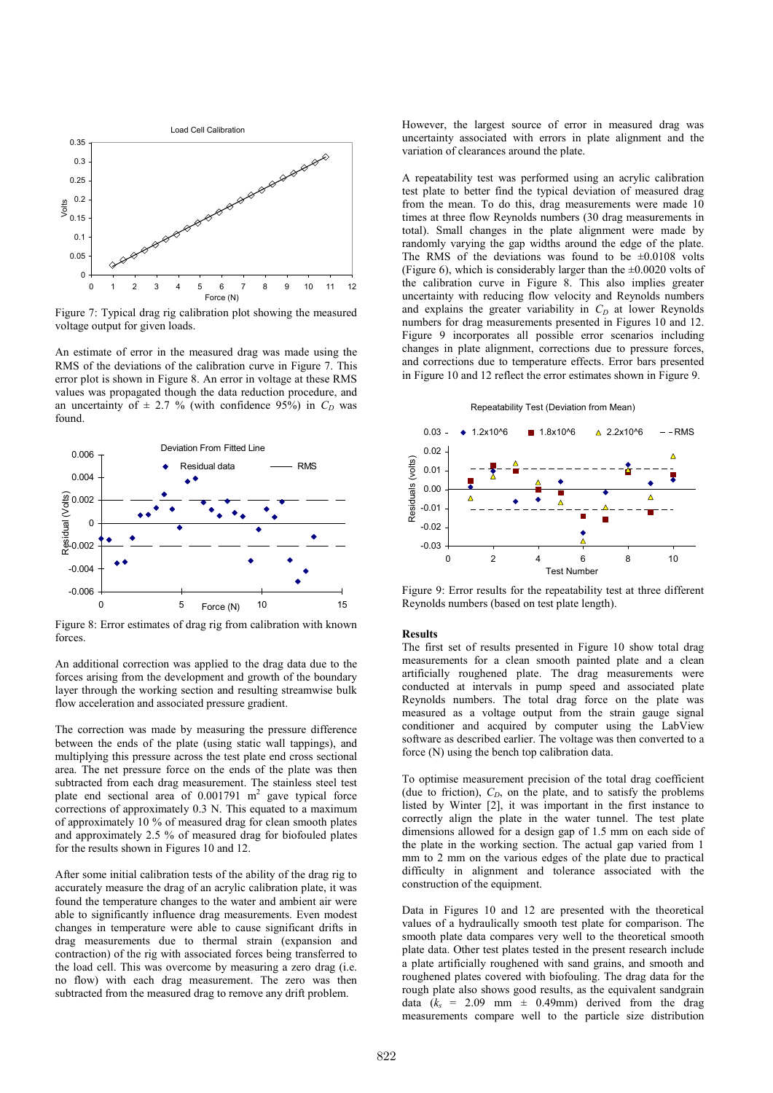

Figure 7: Typical drag rig calibration plot showing the measured voltage output for given loads.

An estimate of error in the measured drag was made using the RMS of the deviations of the calibration curve in Figure 7. This error plot is shown in Figure 8. An error in voltage at these RMS values was propagated though the data reduction procedure, and an uncertainty of  $\pm$  2.7 % (with confidence 95%) in  $C_D$  was found.



Figure 8: Error estimates of drag rig from calibration with known forces.

An additional correction was applied to the drag data due to the forces arising from the development and growth of the boundary layer through the working section and resulting streamwise bulk flow acceleration and associated pressure gradient.

The correction was made by measuring the pressure difference between the ends of the plate (using static wall tappings), and multiplying this pressure across the test plate end cross sectional area. The net pressure force on the ends of the plate was then subtracted from each drag measurement. The stainless steel test plate end sectional area of  $0.001791 \text{ m}^2$  gave typical force corrections of approximately 0.3 N. This equated to a maximum of approximately 10 % of measured drag for clean smooth plates and approximately 2.5 % of measured drag for biofouled plates for the results shown in Figures 10 and 12.

After some initial calibration tests of the ability of the drag rig to accurately measure the drag of an acrylic calibration plate, it was found the temperature changes to the water and ambient air were able to significantly influence drag measurements. Even modest changes in temperature were able to cause significant drifts in drag measurements due to thermal strain (expansion and contraction) of the rig with associated forces being transferred to the load cell. This was overcome by measuring a zero drag (i.e. no flow) with each drag measurement. The zero was then subtracted from the measured drag to remove any drift problem.

However, the largest source of error in measured drag was uncertainty associated with errors in plate alignment and the variation of clearances around the plate.

A repeatability test was performed using an acrylic calibration test plate to better find the typical deviation of measured drag from the mean. To do this, drag measurements were made 10 times at three flow Reynolds numbers (30 drag measurements in total). Small changes in the plate alignment were made by randomly varying the gap widths around the edge of the plate. The RMS of the deviations was found to be  $\pm 0.0108$  volts (Figure 6), which is considerably larger than the  $\pm 0.0020$  volts of the calibration curve in Figure 8. This also implies greater uncertainty with reducing flow velocity and Reynolds numbers and explains the greater variability in  $C<sub>D</sub>$  at lower Reynolds numbers for drag measurements presented in Figures 10 and 12. Figure 9 incorporates all possible error scenarios including changes in plate alignment, corrections due to pressure forces, and corrections due to temperature effects. Error bars presented in Figure 10 and 12 reflect the error estimates shown in Figure 9.

Repeatability Test (Deviation from Mean)



Figure 9: Error results for the repeatability test at three different Reynolds numbers (based on test plate length).

#### Results

The first set of results presented in Figure 10 show total drag measurements for a clean smooth painted plate and a clean artificially roughened plate. The drag measurements were conducted at intervals in pump speed and associated plate Reynolds numbers. The total drag force on the plate was measured as a voltage output from the strain gauge signal conditioner and acquired by computer using the LabView software as described earlier. The voltage was then converted to a force (N) using the bench top calibration data.

To optimise measurement precision of the total drag coefficient (due to friction),  $C_D$ , on the plate, and to satisfy the problems listed by Winter [2], it was important in the first instance to correctly align the plate in the water tunnel. The test plate dimensions allowed for a design gap of 1.5 mm on each side of the plate in the working section. The actual gap varied from 1 mm to 2 mm on the various edges of the plate due to practical difficulty in alignment and tolerance associated with the construction of the equipment.

Data in Figures 10 and 12 are presented with the theoretical values of a hydraulically smooth test plate for comparison. The smooth plate data compares very well to the theoretical smooth plate data. Other test plates tested in the present research include a plate artificially roughened with sand grains, and smooth and roughened plates covered with biofouling. The drag data for the rough plate also shows good results, as the equivalent sandgrain data  $(k<sub>s</sub> = 2.09$  mm  $\pm$  0.49mm) derived from the drag measurements compare well to the particle size distribution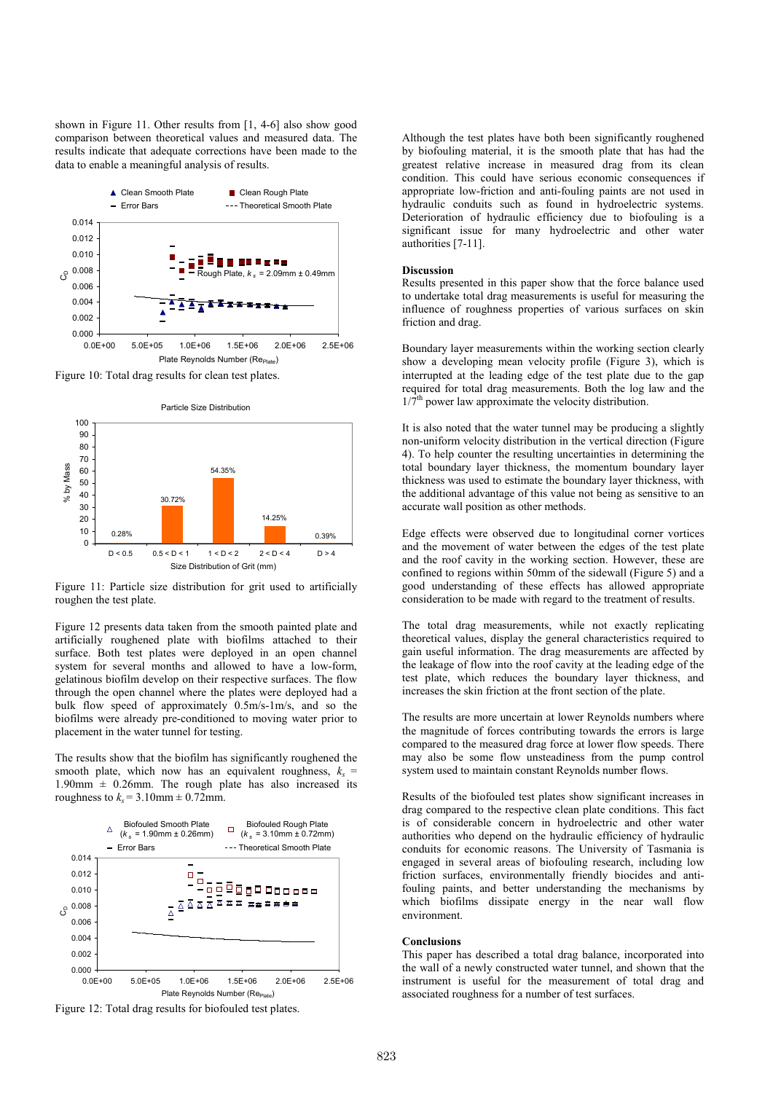shown in Figure 11. Other results from [1, 4-6] also show good comparison between theoretical values and measured data. The results indicate that adequate corrections have been made to the data to enable a meaningful analysis of results.



Figure 10: Total drag results for clean test plates.



Figure 11: Particle size distribution for grit used to artificially roughen the test plate.

Figure 12 presents data taken from the smooth painted plate and artificially roughened plate with biofilms attached to their surface. Both test plates were deployed in an open channel system for several months and allowed to have a low-form, gelatinous biofilm develop on their respective surfaces. The flow through the open channel where the plates were deployed had a bulk flow speed of approximately 0.5m/s-1m/s, and so the biofilms were already pre-conditioned to moving water prior to placement in the water tunnel for testing.

The results show that the biofilm has significantly roughened the smooth plate, which now has an equivalent roughness,  $k_s$  = 1.90mm  $\pm$  0.26mm. The rough plate has also increased its roughness to  $k_s = 3.10$ mm  $\pm 0.72$ mm.



Figure 12: Total drag results for biofouled test plates.

Although the test plates have both been significantly roughened by biofouling material, it is the smooth plate that has had the greatest relative increase in measured drag from its clean condition. This could have serious economic consequences if appropriate low-friction and anti-fouling paints are not used in hydraulic conduits such as found in hydroelectric systems. Deterioration of hydraulic efficiency due to biofouling is a significant issue for many hydroelectric and other water authorities [7-11].

## Discussion

Results presented in this paper show that the force balance used to undertake total drag measurements is useful for measuring the influence of roughness properties of various surfaces on skin friction and drag.

Boundary layer measurements within the working section clearly show a developing mean velocity profile (Figure 3), which is interrupted at the leading edge of the test plate due to the gap required for total drag measurements. Both the log law and the  $1/7<sup>th</sup>$  power law approximate the velocity distribution.

It is also noted that the water tunnel may be producing a slightly non-uniform velocity distribution in the vertical direction (Figure 4). To help counter the resulting uncertainties in determining the total boundary layer thickness, the momentum boundary layer thickness was used to estimate the boundary layer thickness, with the additional advantage of this value not being as sensitive to an accurate wall position as other methods.

Edge effects were observed due to longitudinal corner vortices and the movement of water between the edges of the test plate and the roof cavity in the working section. However, these are confined to regions within 50mm of the sidewall (Figure 5) and a good understanding of these effects has allowed appropriate consideration to be made with regard to the treatment of results.

The total drag measurements, while not exactly replicating theoretical values, display the general characteristics required to gain useful information. The drag measurements are affected by the leakage of flow into the roof cavity at the leading edge of the test plate, which reduces the boundary layer thickness, and increases the skin friction at the front section of the plate.

The results are more uncertain at lower Reynolds numbers where the magnitude of forces contributing towards the errors is large compared to the measured drag force at lower flow speeds. There may also be some flow unsteadiness from the pump control system used to maintain constant Reynolds number flows.

Results of the biofouled test plates show significant increases in drag compared to the respective clean plate conditions. This fact is of considerable concern in hydroelectric and other water authorities who depend on the hydraulic efficiency of hydraulic conduits for economic reasons. The University of Tasmania is engaged in several areas of biofouling research, including low friction surfaces, environmentally friendly biocides and antifouling paints, and better understanding the mechanisms by which biofilms dissipate energy in the near wall flow environment.

# Conclusions

This paper has described a total drag balance, incorporated into the wall of a newly constructed water tunnel, and shown that the instrument is useful for the measurement of total drag and associated roughness for a number of test surfaces.